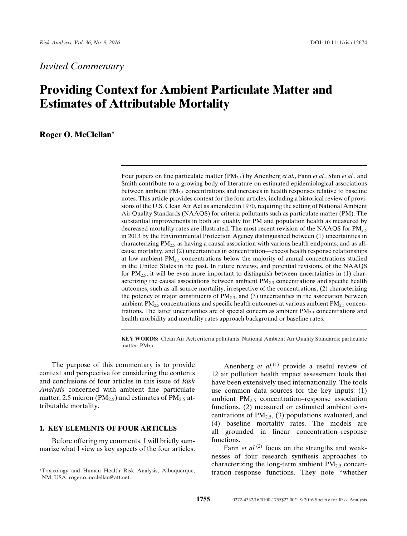# *Invited Commentary*

# **Providing Context for Ambient Particulate Matter and Estimates of Attributable Mortality**

# **Roger O. McClellan<sup>∗</sup>**

Four papers on fine particulate matter (PM2.5) by Anenberg *et al.*, Fann *et al.*, Shin *et al.*, and Smith contribute to a growing body of literature on estimated epidemiological associations between ambient  $PM_{2.5}$  concentrations and increases in health responses relative to baseline notes. This article provides context for the four articles, including a historical review of provisions of the U.S. Clean Air Act as amended in 1970, requiring the setting of National Ambient Air Quality Standards (NAAQS) for criteria pollutants such as particulate matter (PM). The substantial improvements in both air quality for PM and population health as measured by decreased mortality rates are illustrated. The most recent revision of the NAAQS for PM2.5 in 2013 by the Environmental Protection Agency distinguished between (1) uncertainties in characterizing  $PM_{2.5}$  as having a causal association with various health endpoints, and as allcause mortality, and (2) uncertainties in concentration––excess health response relationships at low ambient  $PM<sub>2.5</sub>$  concentrations below the majority of annual concentrations studied in the United States in the past. In future reviews, and potential revisions, of the NAAQS for  $PM_{2.5}$ , it will be even more important to distinguish between uncertainties in (1) characterizing the causal associations between ambient  $PM_{2.5}$  concentrations and specific health outcomes, such as all-source mortality, irrespective of the concentrations, (2) characterizing the potency of major constituents of  $PM_{2.5}$ , and (3) uncertainties in the association between ambient  $PM_{2.5}$  concentrations and specific health outcomes at various ambient  $PM_{2.5}$  concentrations. The latter uncertainties are of special concern as ambient  $PM_{2.5}$  concentrations and health morbidity and mortality rates approach background or baseline rates.

**KEY WORDS:** Clean Air Act; criteria pollutants; National Ambient Air Quality Standards; particulate matter; PM<sub>2.5</sub>

The purpose of this commentary is to provide context and perspective for considering the contents and conclusions of four articles in this issue of *Risk Analysis* concerned with ambient fine particulate matter, 2.5 micron ( $PM_{2.5}$ ) and estimates of  $PM_{2.5}$  attributable mortality.

### **1. KEY ELEMENTS OF FOUR ARTICLES**

Before offering my comments, I will briefly summarize what I view as key aspects of the four articles.

Anenberg *et al.*<sup>(1)</sup> provide a useful review of 12 air pollution health impact assessment tools that have been extensively used internationally. The tools use common data sources for the key inputs: (1) ambient  $PM_{2.5}$  concentration–response association functions, (2) measured or estimated ambient concentrations of  $PM_{2.5}$ , (3) populations evaluated, and (4) baseline mortality rates. The models are all grounded in linear concentration–response functions.

Fann *et al.*<sup>(2)</sup> focus on the strengths and weaknesses of four research synthesis approaches to characterizing the long-term ambient  $PM_{2.5}$  concentration–response functions. They note "whether

<sup>∗</sup>Toxicology and Human Health Risk Analysis, Albuquerque, NM, USA; roger.o.mcclellan@att.net.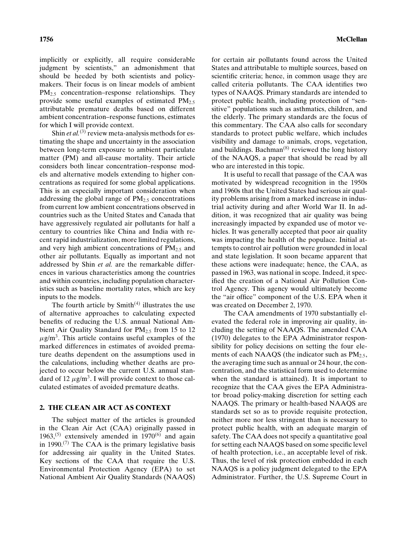implicitly or explicitly, all require considerable judgment by scientists," an admonishment that should be heeded by both scientists and policymakers. Their focus is on linear models of ambient PM<sub>2.5</sub> concentration–response relationships. They provide some useful examples of estimated  $PM_{2.5}$ attributable premature deaths based on different ambient concentration–response functions, estimates for which I will provide context.

Shin *et al.*<sup>(3)</sup> review meta-analysis methods for estimating the shape and uncertainty in the association between long-term exposure to ambient particulate matter (PM) and all-cause mortality. Their article considers both linear concentration–response models and alternative models extending to higher concentrations as required for some global applications. This is an especially important consideration when addressing the global range of  $PM<sub>2.5</sub>$  concentrations from current low ambient concentrations observed in countries such as the United States and Canada that have aggressively regulated air pollutants for half a century to countries like China and India with recent rapid industrialization, more limited regulations, and very high ambient concentrations of  $PM_{2.5}$  and other air pollutants. Equally as important and not addressed by Shin *et al.* are the remarkable differences in various characteristics among the countries and within countries, including population characteristics such as baseline mortality rates, which are key inputs to the models.

The fourth article by  $Smith<sup>(4)</sup>$  illustrates the use of alternative approaches to calculating expected benefits of reducing the U.S. annual National Ambient Air Quality Standard for  $PM_{2.5}$  from 15 to 12  $\mu$ g/m<sup>3</sup>. This article contains useful examples of the marked differences in estimates of avoided premature deaths dependent on the assumptions used in the calculations, including whether deaths are projected to occur below the current U.S. annual standard of 12  $\mu$ g/m<sup>3</sup>. I will provide context to those calculated estimates of avoided premature deaths.

## **2. THE CLEAN AIR ACT AS CONTEXT**

The subject matter of the articles is grounded in the Clean Air Act (CAA) originally passed in 1963,<sup>(5)</sup> extensively amended in 1970<sup>(6)</sup> and again in 1990.<sup> $(7)$ </sup> The CAA is the primary legislative basis for addressing air quality in the United States. Key sections of the CAA that require the U.S. Environmental Protection Agency (EPA) to set National Ambient Air Quality Standards (NAAQS) for certain air pollutants found across the United States and attributable to multiple sources, based on scientific criteria; hence, in common usage they are called criteria pollutants. The CAA identifies two types of NAAQS. Primary standards are intended to protect public health, including protection of "sensitive" populations such as asthmatics, children, and the elderly. The primary standards are the focus of this commentary. The CAA also calls for secondary standards to protect public welfare, which includes visibility and damage to animals, crops, vegetation, and buildings. Bachman<sup>(8)</sup> reviewed the long history of the NAAQS, a paper that should be read by all who are interested in this topic.

It is useful to recall that passage of the CAA was motivated by widespread recognition in the 1950s and 1960s that the United States had serious air quality problems arising from a marked increase in industrial activity during and after World War II. In addition, it was recognized that air quality was being increasingly impacted by expanded use of motor vehicles. It was generally accepted that poor air quality was impacting the health of the populace. Initial attempts to control air pollution were grounded in local and state legislation. It soon became apparent that these actions were inadequate; hence, the CAA, as passed in 1963, was national in scope. Indeed, it specified the creation of a National Air Pollution Control Agency. This agency would ultimately become the "air office" component of the U.S. EPA when it was created on December 2, 1970.

The CAA amendments of 1970 substantially elevated the federal role in improving air quality, including the setting of NAAQS. The amended CAA (1970) delegates to the EPA Administrator responsibility for policy decisions on setting the four elements of each NAAQS (the indicator such as  $PM_{2.5}$ , the averaging time such as annual or 24 hour, the concentration, and the statistical form used to determine when the standard is attained). It is important to recognize that the CAA gives the EPA Administrator broad policy-making discretion for setting each NAAQS. The primary or health-based NAAQS are standards set so as to provide requisite protection, neither more nor less stringent than is necessary to protect public health, with an adequate margin of safety. The CAA does not specify a quantitative goal for setting each NAAQS based on some specific level of health protection, i.e., an acceptable level of risk. Thus, the level of risk protection embedded in each NAAQS is a policy judgment delegated to the EPA Administrator. Further, the U.S. Supreme Court in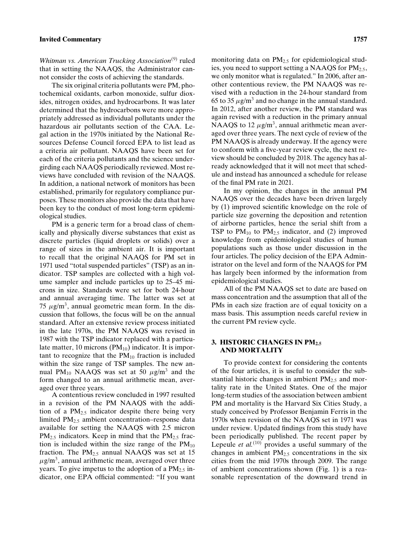#### **Invited Commentary 1757**

*Whitman vs. American Trucking Association*<sup>(9)</sup> ruled that in setting the NAAQS, the Administrator cannot consider the costs of achieving the standards.

The six original criteria pollutants were PM, photochemical oxidants, carbon monoxide, sulfur dioxides, nitrogen oxides, and hydrocarbons. It was later determined that the hydrocarbons were more appropriately addressed as individual pollutants under the hazardous air pollutants section of the CAA. Legal action in the 1970s initiated by the National Resources Defense Council forced EPA to list lead as a criteria air pollutant. NAAQS have been set for each of the criteria pollutants and the science undergirding each NAAQS periodically reviewed. Most reviews have concluded with revision of the NAAQS. In addition, a national network of monitors has been established, primarily for regulatory compliance purposes. These monitors also provide the data that have been key to the conduct of most long-term epidemiological studies.

PM is a generic term for a broad class of chemically and physically diverse substances that exist as discrete particles (liquid droplets or solids) over a range of sizes in the ambient air. It is important to recall that the original NAAQS for PM set in 1971 used "total suspended particles" (TSP) as an indicator. TSP samples are collected with a high volume sampler and include particles up to 25–45 microns in size. Standards were set for both 24-hour and annual averaging time. The latter was set at  $75 \mu$ g/m<sup>3</sup>, annual geometric mean form. In the discussion that follows, the focus will be on the annual standard. After an extensive review process initiated in the late 1970s, the PM NAAQS was revised in 1987 with the TSP indicator replaced with a particulate matter, 10 microns  $(PM_{10})$  indicator. It is important to recognize that the  $PM_{10}$  fraction is included within the size range of TSP samples. The new annual PM<sub>10</sub> NAAQS was set at 50  $\mu$ g/m<sup>3</sup> and the form changed to an annual arithmetic mean, averaged over three years.

A contentious review concluded in 1997 resulted in a revision of the PM NAAQS with the addition of a  $PM_{2.5}$  indicator despite there being very limited PM2.5 ambient concentration–response data available for setting the NAAQS with 2.5 micron  $PM_{2.5}$  indicators. Keep in mind that the  $PM_{2.5}$  fraction is included within the size range of the  $PM_{10}$ fraction. The  $PM_{2.5}$  annual NAAQS was set at 15  $\mu$ g/m<sup>3</sup>, annual arithmetic mean, averaged over three years. To give impetus to the adoption of a  $PM_{2.5}$  indicator, one EPA official commented: "If you want

monitoring data on  $PM_{2.5}$  for epidemiological studies, you need to support setting a NAAQS for  $PM_{2.5}$ , we only monitor what is regulated." In 2006, after another contentious review, the PM NAAQS was revised with a reduction in the 24-hour standard from 65 to 35  $\mu$ g/m<sup>3</sup> and no change in the annual standard. In 2012, after another review, the PM standard was again revised with a reduction in the primary annual NAAQS to 12  $\mu$ g/m<sup>3</sup>, annual arithmetic mean averaged over three years. The next cycle of review of the PM NAAQS is already underway. If the agency were to conform with a five-year review cycle, the next review should be concluded by 2018. The agency has already acknowledged that it will not meet that schedule and instead has announced a schedule for release of the final PM rate in 2021.

In my opinion, the changes in the annual PM NAAQS over the decades have been driven largely by (1) improved scientific knowledge on the role of particle size governing the deposition and retention of airborne particles, hence the serial shift from a TSP to  $PM_{10}$  to  $PM_{2.5}$  indicator, and (2) improved knowledge from epidemiological studies of human populations such as those under discussion in the four articles. The policy decision of the EPA Administrator on the level and form of the NAAQS for PM has largely been informed by the information from epidemiological studies.

All of the PM NAAQS set to date are based on mass concentration and the assumption that all of the PMs in each size fraction are of equal toxicity on a mass basis. This assumption needs careful review in the current PM review cycle.

## **3. HISTORIC CHANGES IN PM2.5 AND MORTALITY**

To provide context for considering the contents of the four articles, it is useful to consider the substantial historic changes in ambient  $PM<sub>2.5</sub>$  and mortality rate in the United States. One of the major long-term studies of the association between ambient PM and mortality is the Harvard Six Cities Study, a study conceived by Professor Benjamin Ferris in the 1970s when revision of the NAAQS set in 1971 was under review. Updated findings from this study have been periodically published. The recent paper by Lepeule *et al.*<sup>(10)</sup> provides a useful summary of the changes in ambient  $PM_{2.5}$  concentrations in the six cities from the mid 1970s through 2009. The range of ambient concentrations shown (Fig. 1) is a reasonable representation of the downward trend in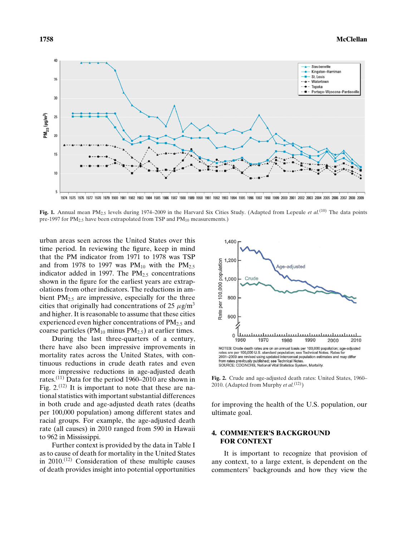

**Fig. 1.** Annual mean PM<sub>2.5</sub> levels during 1974–2009 in the Harvard Six Cities Study. (Adapted from Lepeule *et al.*<sup>(10)</sup> The data points pre-1997 for  $PM_{2.5}$  have been extrapolated from TSP and  $PM_{10}$  measurements.)

urban areas seen across the United States over this time period. In reviewing the figure, keep in mind that the PM indicator from 1971 to 1978 was TSP and from 1978 to 1997 was  $PM_{10}$  with the  $PM_{2.5}$ indicator added in 1997. The  $PM_{2.5}$  concentrations shown in the figure for the earliest years are extrapolations from other indicators. The reductions in ambient  $PM_{2.5}$  are impressive, especially for the three cities that originally had concentrations of 25  $\mu$ g/m<sup>3</sup> and higher. It is reasonable to assume that these cities experienced even higher concentrations of  $PM_{2.5}$  and coarse particles ( $PM_{10}$  minus  $PM_{2.5}$ ) at earlier times.

During the last three-quarters of a century, there have also been impressive improvements in mortality rates across the United States, with continuous reductions in crude death rates and even more impressive reductions in age-adjusted death rates.(11) Data for the period 1960–2010 are shown in Fig.  $2^{(12)}$  It is important to note that these are national statistics with important substantial differences in both crude and age-adjusted death rates (deaths per 100,000 population) among different states and racial groups. For example, the age-adjusted death rate (all causes) in 2010 ranged from 590 in Hawaii to 962 in Mississippi.

Further context is provided by the data in Table I as to cause of death for mortality in the United States in  $2010$ <sup> $(12)$ </sup> Consideration of these multiple causes of death provides insight into potential opportunities



**Fig. 2.** Crude and age-adjusted death rates: United States, 1960– 2010. (Adapted from Murphy *et al.*<sup>(12)</sup>)

for improving the health of the U.S. population, our ultimate goal.

# **4. COMMENTER'S BACKGROUND FOR CONTEXT**

It is important to recognize that provision of any context, to a large extent, is dependent on the commenters' backgrounds and how they view the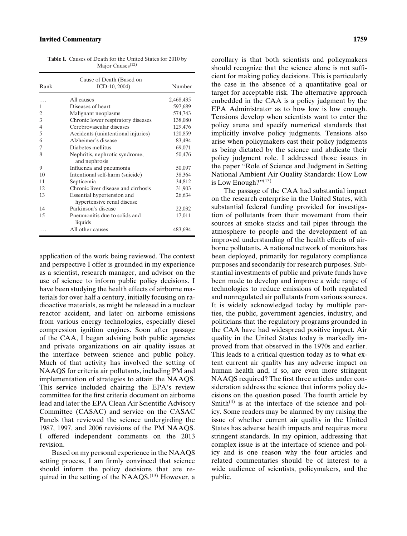**Table I.** Causes of Death for the United States for 2010 by Major Causes<sup>(12)</sup>

| Cause of Death (Based on |                                     |           |  |  |
|--------------------------|-------------------------------------|-----------|--|--|
| Rank                     | ICD-10, 2004)                       | Number    |  |  |
|                          | All causes                          | 2,468,435 |  |  |
| 1                        | Diseases of heart                   | 597,689   |  |  |
| 2                        | Malignant neoplasms                 | 574,743   |  |  |
| 3                        | Chronic lower respiratory diseases  | 138,080   |  |  |
| 4                        | Cerebrovascular diseases            | 129,476   |  |  |
| 5                        | Accidents (unintentional injuries)  | 120,859   |  |  |
| 6                        | Alzheimer's disease                 | 83,494    |  |  |
| 7                        | Diabetes mellitus                   | 69,071    |  |  |
| 8                        | Nephritis, nephrotic syndrome,      | 50,476    |  |  |
|                          | and nephrosis                       |           |  |  |
| 9                        | Influenza and pneumonia             | 50,097    |  |  |
| 10                       | Intentional self-harm (suicide)     | 38,364    |  |  |
| 11                       | Septicemia                          | 34,812    |  |  |
| 12                       | Chronic liver disease and cirrhosis | 31,903    |  |  |
| 13                       | Essential hypertension and          | 26,634    |  |  |
|                          | hypertensive renal disease          |           |  |  |
| 14                       | Parkinson's disease                 | 22,032    |  |  |
| 15                       | Pneumonitis due to solids and       | 17,011    |  |  |
|                          | liquids                             |           |  |  |
|                          | All other causes                    | 483,694   |  |  |

application of the work being reviewed. The context and perspective I offer is grounded in my experience as a scientist, research manager, and advisor on the use of science to inform public policy decisions. I have been studying the health effects of airborne materials for over half a century, initially focusing on radioactive materials, as might be released in a nuclear reactor accident, and later on airborne emissions from various energy technologies, especially diesel compression ignition engines. Soon after passage of the CAA, I began advising both public agencies and private organizations on air quality issues at the interface between science and public policy. Much of that activity has involved the setting of NAAQS for criteria air pollutants, including PM and implementation of strategies to attain the NAAQS. This service included chairing the EPA's review committee for the first criteria document on airborne lead and later the EPA Clean Air Scientific Advisory Committee (CASAC) and service on the CASAC Panels that reviewed the science undergirding the 1987, 1997, and 2006 revisions of the PM NAAQS. I offered independent comments on the 2013 revision.

Based on my personal experience in the NAAQS setting process, I am firmly convinced that science should inform the policy decisions that are required in the setting of the  $NAAQS<sup>(13)</sup>$  However, a

corollary is that both scientists and policymakers should recognize that the science alone is not sufficient for making policy decisions. This is particularly the case in the absence of a quantitative goal or target for acceptable risk. The alternative approach embedded in the CAA is a policy judgment by the EPA Administrator as to how low is low enough. Tensions develop when scientists want to enter the policy arena and specify numerical standards that implicitly involve policy judgments. Tensions also arise when policymakers cast their policy judgments as being dictated by the science and abdicate their policy judgment role. I addressed those issues in the paper "Role of Science and Judgment in Setting National Ambient Air Quality Standards: How Low is Low Enough?"<sup>(13)</sup>

The passage of the CAA had substantial impact on the research enterprise in the United States, with substantial federal funding provided for investigation of pollutants from their movement from their sources at smoke stacks and tail pipes through the atmosphere to people and the development of an improved understanding of the health effects of airborne pollutants. A national network of monitors has been deployed, primarily for regulatory compliance purposes and secondarily for research purposes. Substantial investments of public and private funds have been made to develop and improve a wide range of technologies to reduce emissions of both regulated and nonregulated air pollutants from various sources. It is widely acknowledged today by multiple parties, the public, government agencies, industry, and politicians that the regulatory programs grounded in the CAA have had widespread positive impact. Air quality in the United States today is markedly improved from that observed in the 1970s and earlier. This leads to a critical question today as to what extent current air quality has any adverse impact on human health and, if so, are even more stringent NAAQS required? The first three articles under consideration address the science that informs policy decisions on the question posed. The fourth article by Smith<sup>(4)</sup> is at the interface of the science and policy. Some readers may be alarmed by my raising the issue of whether current air quality in the United States has adverse health impacts and requires more stringent standards. In my opinion, addressing that complex issue is at the interface of science and policy and is one reason why the four articles and related commentaries should be of interest to a wide audience of scientists, policymakers, and the public.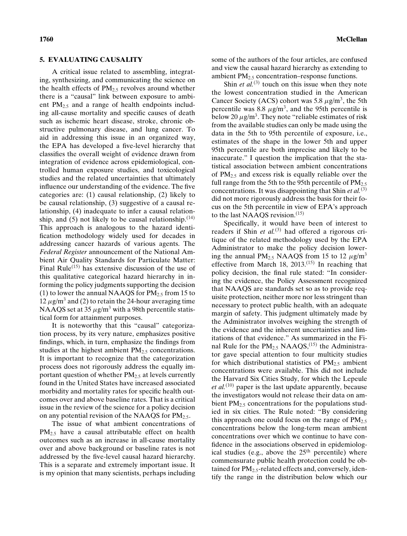#### **5. EVALUATING CAUSALITY**

A critical issue related to assembling, integrating, synthesizing, and communicating the science on the health effects of  $PM_{2.5}$  revolves around whether there is a "causal" link between exposure to ambient  $PM_{2.5}$  and a range of health endpoints including all-cause mortality and specific causes of death such as ischemic heart disease, stroke, chronic obstructive pulmonary disease, and lung cancer. To aid in addressing this issue in an organized way, the EPA has developed a five-level hierarchy that classifies the overall weight of evidence drawn from integration of evidence across epidemiological, controlled human exposure studies, and toxicological studies and the related uncertainties that ultimately influence our understanding of the evidence. The five categories are: (1) causal relationship, (2) likely to be causal relationship, (3) suggestive of a causal relationship, (4) inadequate to infer a causal relationship, and  $(5)$  not likely to be causal relationship.<sup>(14)</sup> This approach is analogous to the hazard identification methodology widely used for decades in addressing cancer hazards of various agents. The *Federal Register* announcement of the National Ambient Air Quality Standards for Particulate Matter: Final Rule<sup> $(15)$ </sup> has extensive discussion of the use of this qualitative categorical hazard hierarchy in informing the policy judgments supporting the decision (1) to lower the annual NAAQS for  $PM_{2.5}$  from 15 to  $12 \mu$ g/m<sup>3</sup> and (2) to retain the 24-hour averaging time NAAQS set at 35  $\mu$ g/m<sup>3</sup> with a 98th percentile statistical form for attainment purposes.

It is noteworthy that this "causal" categorization process, by its very nature, emphasizes positive findings, which, in turn, emphasize the findings from studies at the highest ambient  $PM<sub>2.5</sub>$  concentrations. It is important to recognize that the categorization process does not rigorously address the equally important question of whether  $PM<sub>2.5</sub>$  at levels currently found in the United States have increased associated morbidity and mortality rates for specific health outcomes over and above baseline rates. That is a critical issue in the review of the science for a policy decision on any potential revision of the NAAQS for  $PM_{2.5}$ .

The issue of what ambient concentrations of PM<sub>2.5</sub> have a causal attributable effect on health outcomes such as an increase in all-cause mortality over and above background or baseline rates is not addressed by the five-level causal hazard hierarchy. This is a separate and extremely important issue. It is my opinion that many scientists, perhaps including some of the authors of the four articles, are confused and view the causal hazard hierarchy as extending to ambient  $PM_{2.5}$  concentration–response functions.

Shin *et al.*<sup>(3)</sup> touch on this issue when they note the lowest concentration studied in the American Cancer Society (ACS) cohort was 5.8  $\mu$ g/m<sup>3</sup>, the 5th percentile was 8.8  $\mu$ g/m<sup>3</sup>, and the 95th percentile is below 20  $\mu$ g/m<sup>3</sup>. They note "reliable estimates of risk" from the available studies can only be made using the data in the 5th to 95th percentile of exposure, i.e., estimates of the shape in the lower 5th and upper 95th percentile are both imprecise and likely to be inaccurate." I question the implication that the statistical association between ambient concentrations of  $PM_{2.5}$  and excess risk is equally reliable over the full range from the 5th to the 95th percentile of  $PM_{2.5}$ concentrations. It was disappointing that Shin *et al.*(3) did not more rigorously address the basis for their focus on the 5th percentile in view of EPA's approach to the last NAAQS revision.(15)

Specifically, it would have been of interest to readers if Shin *et al.*<sup>(3)</sup> had offered a rigorous critique of the related methodology used by the EPA Administrator to make the policy decision lowering the annual PM<sub>2.5</sub> NAAQS from 15 to 12  $\mu$ g/m<sup>3</sup> effective from March 18, 2013.<sup>(15)</sup> In reaching that policy decision, the final rule stated: "In considering the evidence, the Policy Assessment recognized that NAAQS are standards set so as to provide requisite protection, neither more nor less stringent than necessary to protect public health, with an adequate margin of safety. This judgment ultimately made by the Administrator involves weighing the strength of the evidence and the inherent uncertainties and limitations of that evidence." As summarized in the Final Rule for the  $PM_{2.5}$  NAAQS,<sup>(15)</sup> the Administrator gave special attention to four multicity studies for which distributional statistics of  $PM_{2.5}$  ambient concentrations were available. This did not include the Harvard Six Cities Study, for which the Lepeule *et al.*(10) paper is the last update apparently, because the investigators would not release their data on ambient  $PM_{2.5}$  concentrations for the populations studied in six cities. The Rule noted: "By considering this approach one could focus on the range of  $PM_{2.5}$ concentrations below the long-term mean ambient concentrations over which we continue to have confidence in the associations observed in epidemiological studies (e.g., above the  $25<sup>th</sup>$  percentile) where commensurate public health protection could be obtained for  $PM_{2.5}$ -related effects and, conversely, identify the range in the distribution below which our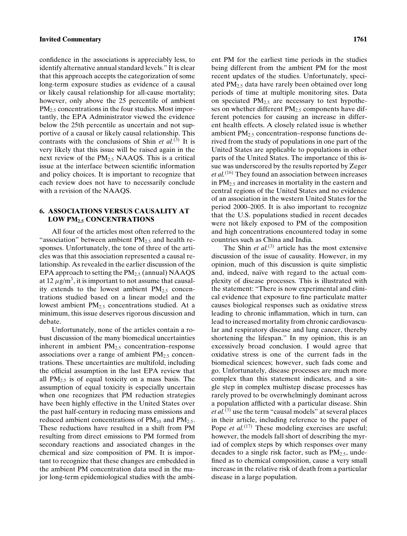confidence in the associations is appreciably less, to identify alternative annual standard levels." It is clear that this approach accepts the categorization of some long-term exposure studies as evidence of a causal or likely causal relationship for all-cause mortality; however, only above the 25 percentile of ambient PM<sub>2.5</sub> concentrations in the four studies. Most importantly, the EPA Administrator viewed the evidence below the 25th percentile as uncertain and not supportive of a causal or likely causal relationship. This contrasts with the conclusions of Shin *et al.*<sup>(3)</sup> It is very likely that this issue will be raised again in the next review of the  $PM<sub>2.5</sub> NAAQS$ . This is a critical issue at the interface between scientific information and policy choices. It is important to recognize that each review does not have to necessarily conclude with a revision of the NAAQS.

## **6. ASSOCIATIONS VERSUS CAUSALITY AT LOW PM2.5 CONCENTRATIONS**

All four of the articles most often referred to the "association" between ambient  $PM_{2.5}$  and health responses. Unfortunately, the tone of three of the articles was that this association represented a causal relationship. As revealed in the earlier discussion of the EPA approach to setting the  $PM_{2.5}$  (annual) NAAQS at  $12 \mu g/m^3$ , it is important to not assume that causality extends to the lowest ambient  $PM_{2.5}$  concentrations studied based on a linear model and the lowest ambient  $PM_{2.5}$  concentrations studied. At a minimum, this issue deserves rigorous discussion and debate.

Unfortunately, none of the articles contain a robust discussion of the many biomedical uncertainties inherent in ambient PM2.5 concentration–response associations over a range of ambient  $PM<sub>2.5</sub>$  concentrations. These uncertainties are multifold, including the official assumption in the last EPA review that all  $PM_{2.5}$  is of equal toxicity on a mass basis. The assumption of equal toxicity is especially uncertain when one recognizes that PM reduction strategies have been highly effective in the United States over the past half-century in reducing mass emissions and reduced ambient concentrations of  $PM_{10}$  and  $PM_{2.5}$ . These reductions have resulted in a shift from PM resulting from direct emissions to PM formed from secondary reactions and associated changes in the chemical and size composition of PM. It is important to recognize that these changes are embedded in the ambient PM concentration data used in the major long-term epidemiological studies with the ambi-

ent PM for the earliest time periods in the studies being different from the ambient PM for the most recent updates of the studies. Unfortunately, speciated  $PM<sub>2.5</sub>$  data have rarely been obtained over long periods of time at multiple monitoring sites. Data on speciated  $PM_{2.5}$  are necessary to test hypotheses on whether different  $PM_{2.5}$  components have different potencies for causing an increase in different health effects. A closely related issue is whether ambient  $PM_{2.5}$  concentration–response functions derived from the study of populations in one part of the United States are applicable to populations in other parts of the United States. The importance of this issue was underscored by the results reported by Zeger *et al.*(16) They found an association between increases in  $PM<sub>2.5</sub>$  and increases in mortality in the eastern and central regions of the United States and no evidence of an association in the western United States for the period 2000–2005. It is also important to recognize that the U.S. populations studied in recent decades were not likely exposed to PM of the composition and high concentrations encountered today in some countries such as China and India.

The Shin *et al.*<sup>(3)</sup> article has the most extensive discussion of the issue of causality. However, in my opinion, much of this discussion is quite simplistic and, indeed, naïve with regard to the actual complexity of disease processes. This is illustrated with the statement: "There is now experimental and clinical evidence that exposure to fine particulate matter causes biological responses such as oxidative stress leading to chronic inflammation, which in turn, can lead to increased mortality from chronic cardiovascular and respiratory disease and lung cancer, thereby shortening the lifespan." In my opinion, this is an excessively broad conclusion. I would agree that oxidative stress is one of the current fads in the biomedical sciences; however, such fads come and go. Unfortunately, disease processes are much more complex than this statement indicates, and a single step in complex multistep disease processes has rarely proved to be overwhelmingly dominant across a population afflicted with a particular disease. Shin *et al.*<sup>(3)</sup> use the term "causal models" at several places in their article, including reference to the paper of Pope *et al.*<sup>(17)</sup> These modeling exercises are useful; however, the models fall short of describing the myriad of complex steps by which responses over many decades to a single risk factor, such as  $PM<sub>2.5</sub>$ , undefined as to chemical composition, cause a very small increase in the relative risk of death from a particular disease in a large population.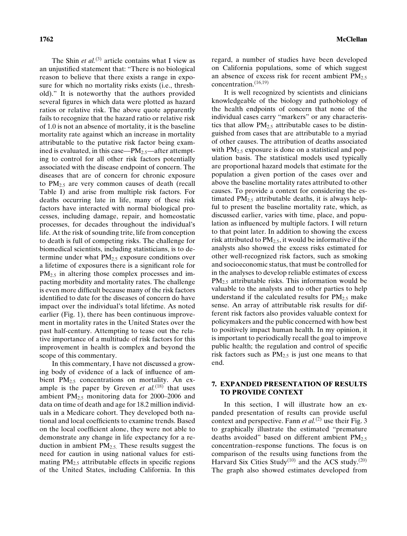The Shin *et al.*<sup>(3)</sup> article contains what I view as an unjustified statement that: "There is no biological reason to believe that there exists a range in exposure for which no mortality risks exists (i.e., threshold)." It is noteworthy that the authors provided several figures in which data were plotted as hazard ratios or relative risk. The above quote apparently fails to recognize that the hazard ratio or relative risk of 1.0 is not an absence of mortality, it is the baseline mortality rate against which an increase in mortality attributable to the putative risk factor being examined is evaluated, in this case— $PM_{2.5}$ —after attempting to control for all other risk factors potentially associated with the disease endpoint of concern. The diseases that are of concern for chronic exposure to  $PM_{2.5}$  are very common causes of death (recall Table I) and arise from multiple risk factors. For deaths occurring late in life, many of these risk factors have interacted with normal biological processes, including damage, repair, and homeostatic processes, for decades throughout the individual's life. At the risk of sounding trite, life from conception to death is full of competing risks. The challenge for biomedical scientists, including statisticians, is to determine under what  $PM<sub>2.5</sub>$  exposure conditions over a lifetime of exposures there is a significant role for PM<sub>2.5</sub> in altering those complex processes and impacting morbidity and mortality rates. The challenge is even more difficult because many of the risk factors identified to date for the diseases of concern do have impact over the individual's total lifetime. As noted earlier (Fig. 1), there has been continuous improvement in mortality rates in the United States over the past half-century. Attempting to tease out the relative importance of a multitude of risk factors for this improvement in health is complex and beyond the scope of this commentary.

In this commentary, I have not discussed a growing body of evidence of a lack of influence of ambient PM<sub>2.5</sub> concentrations on mortality. An example is the paper by Greven  $et \ al.<sup>(18)</sup>$  that uses ambient PM2.5 monitoring data for 2000–2006 and data on time of death and age for 18.2 million individuals in a Medicare cohort. They developed both national and local coefficients to examine trends. Based on the local coefficient alone, they were not able to demonstrate any change in life expectancy for a reduction in ambient  $PM_{2.5}$ . These results suggest the need for caution in using national values for estimating  $PM<sub>2.5</sub>$  attributable effects in specific regions of the United States, including California. In this regard, a number of studies have been developed on California populations, some of which suggest an absence of excess risk for recent ambient  $PM_{2.5}$ concentration. $(16,19)$ 

It is well recognized by scientists and clinicians knowledgeable of the biology and pathobiology of the health endpoints of concern that none of the individual cases carry "markers" or any characteristics that allow  $PM_{2.5}$  attributable cases to be distinguished from cases that are attributable to a myriad of other causes. The attribution of deaths associated with  $PM_{2,5}$  exposure is done on a statistical and population basis. The statistical models used typically are proportional hazard models that estimate for the population a given portion of the cases over and above the baseline mortality rates attributed to other causes. To provide a context for considering the estimated  $PM<sub>2.5</sub>$  attributable deaths, it is always helpful to present the baseline mortality rate, which, as discussed earlier, varies with time, place, and population as influenced by multiple factors. I will return to that point later. In addition to showing the excess risk attributed to  $PM_{2.5}$ , it would be informative if the analysts also showed the excess risks estimated for other well-recognized risk factors, such as smoking and socioeconomic status, that must be controlled for in the analyses to develop reliable estimates of excess  $PM<sub>2.5</sub>$  attributable risks. This information would be valuable to the analysts and to other parties to help understand if the calculated results for  $PM_{2.5}$  make sense. An array of attributable risk results for different risk factors also provides valuable context for policymakers and the public concerned with how best to positively impact human health. In my opinion, it is important to periodically recall the goal to improve public health; the regulation and control of specific risk factors such as  $PM_{2.5}$  is just one means to that end.

## **7. EXPANDED PRESENTATION OF RESULTS TO PROVIDE CONTEXT**

In this section, I will illustrate how an expanded presentation of results can provide useful context and perspective. Fann *et al.*<sup>(2)</sup> use their Fig. 3 to graphically illustrate the estimated "premature deaths avoided" based on different ambient  $PM_{2.5}$ concentration–response functions. The focus is on comparison of the results using functions from the Harvard Six Cities Study<sup>(10)</sup> and the ACS study.<sup>(20)</sup> The graph also showed estimates developed from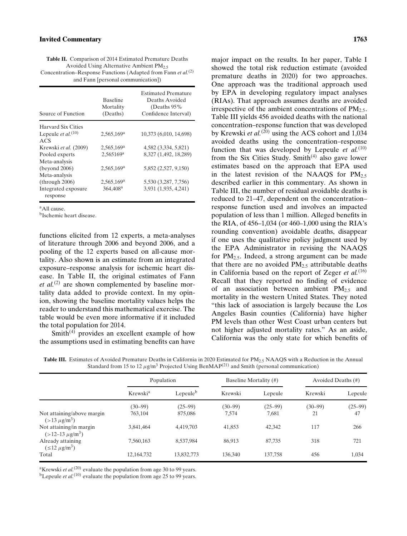**Table II.** Comparison of 2014 Estimated Premature Deaths Avoided Using Alternative Ambient  $PM<sub>2.5</sub>$ Concentration–Response Functions (Adapted from Fann *et al.*(2) and Fann [personal communication])

| <b>Baseline</b><br>Mortality<br>(Deaths) | <b>Estimated Premature</b><br>Deaths Avoided<br>(Deaths $95\%$<br>Confidence Interval) |
|------------------------------------------|----------------------------------------------------------------------------------------|
|                                          |                                                                                        |
| 2.565.169 <sup>a</sup>                   | 10,373 (6,010, 14,698)                                                                 |
|                                          |                                                                                        |
| 2,565,169 <sup>a</sup>                   | 4,582 (3,334, 5,821)                                                                   |
| 2,565169 <sup>a</sup>                    | 8,327 (1,492, 18,289)                                                                  |
|                                          |                                                                                        |
| 2.565.169 <sup>a</sup>                   | 5,852 (2,527, 9,150)                                                                   |
|                                          |                                                                                        |
| $2,565,169^{\rm a}$                      | 5,530 (3,287, 7,756)                                                                   |
| 364,408 <sup>a</sup>                     | 3,931 (1,935, 4,241)                                                                   |
|                                          |                                                                                        |

aAll cause.

bIschemic heart disease.

functions elicited from 12 experts, a meta-analyses of literature through 2006 and beyond 2006, and a pooling of the 12 experts based on all-cause mortality. Also shown is an estimate from an integrated exposure–response analysis for ischemic heart disease. In Table II, the original estimates of Fann *et al.*<sup>(2)</sup> are shown complemented by baseline mortality data added to provide context. In my opinion, showing the baseline mortality values helps the reader to understand this mathematical exercise. The table would be even more informative if it included the total population for 2014.

Smith $(4)$  provides an excellent example of how the assumptions used in estimating benefits can have

major impact on the results. In her paper, Table I showed the total risk reduction estimate (avoided premature deaths in 2020) for two approaches. One approach was the traditional approach used by EPA in developing regulatory impact analyses (RIAs). That approach assumes deaths are avoided irrespective of the ambient concentrations of  $PM_{2.5}$ . Table III yields 456 avoided deaths with the national concentration–response function that was developed by Krewski *et al.*<sup>(20)</sup> using the ACS cohort and  $1,034$ avoided deaths using the concentration–response function that was developed by Lepeule *et al.*<sup>(10)</sup> from the Six Cities Study. Smith $(4)$  also gave lower estimates based on the approach that EPA used in the latest revision of the NAAQS for  $PM_{2.5}$ described earlier in this commentary. As shown in Table III, the number of residual avoidable deaths is reduced to 21–47, dependent on the concentration– response function used and involves an impacted population of less than 1 million. Alleged benefits in the RIA, of 456–1,034 (or 460–1,000 using the RIA's rounding convention) avoidable deaths, disappear if one uses the qualitative policy judgment used by the EPA Administrator in revising the NAAQS for  $PM_{2.5}$ . Indeed, a strong argument can be made that there are no avoided  $PM_{2.5}$  attributable deaths in California based on the report of Zeger *et al.*<sup>(16)</sup> Recall that they reported no finding of evidence of an association between ambient  $PM_{2.5}$  and mortality in the western United States. They noted "this lack of association is largely because the Los Angeles Basin counties (California) have higher PM levels than other West Coast urban centers but not higher adjusted mortality rates." As an aside, California was the only state for which benefits of

**Table III.** Estimates of Avoided Premature Deaths in California in 2020 Estimated for PM<sub>2.5</sub> NAAQS with a Reduction in the Annual Standard from 15 to 12  $\mu$ g/m<sup>3</sup> Projected Using BenMAP<sup>(21)</sup> and Smith (personal communication)

|                                                 |                      | Population           | Baseline Mortality (#) |           | Avoided Deaths (#) |           |
|-------------------------------------------------|----------------------|----------------------|------------------------|-----------|--------------------|-----------|
|                                                 | Krewski <sup>a</sup> | Lepeule <sup>b</sup> | Krewski                | Lepeule   | Krewski            | Lepeule   |
|                                                 | $(30-99)$            | $(25-99)$            | $(30-99)$              | $(25-99)$ | $(30-99)$          | $(25-99)$ |
| Not attaining/above margin<br>$(>13 \mu g/m^3)$ | 763,104              | 875,086              | 7,574                  | 7,681     | 21                 | 47        |
| Not attaining/in margin<br>$(>12-13 \mu g/m^3)$ | 3,841,464            | 4.419.703            | 41.853                 | 42.342    | 117                | 266       |
| Already attaining<br>$(\leq 12 \ \mu g/m^3)$    | 7,560,163            | 8,537,984            | 86,913                 | 87,735    | 318                | 721       |
| Total                                           | 12,164,732           | 13,832,773           | 136,340                | 137,758   | 456                | 1,034     |

<sup>a</sup>Krewski *et al.*<sup>(20)</sup> evaluate the population from age 30 to 99 years.

<sup>b</sup>Lepeule *et al.*<sup>(10)</sup> evaluate the population from age 25 to 99 years.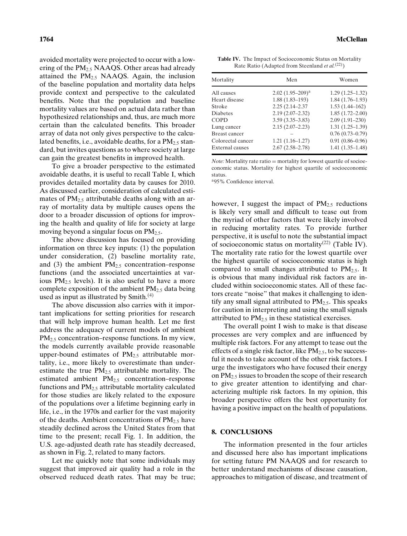avoided mortality were projected to occur with a lowering of the PM<sub>2.5</sub> NAAQS. Other areas had already attained the  $PM_{2.5}$  NAAQS. Again, the inclusion of the baseline population and mortality data helps provide context and perspective to the calculated benefits. Note that the population and baseline mortality values are based on actual data rather than hypothesized relationships and, thus, are much more certain than the calculated benefits. This broader array of data not only gives perspective to the calculated benefits, i.e., avoidable deaths, for a  $PM_{2.5}$  standard, but invites questions as to where society at large can gain the greatest benefits in improved health.

To give a broader perspective to the estimated avoidable deaths, it is useful to recall Table I, which provides detailed mortality data by causes for 2010. As discussed earlier, consideration of calculated estimates of  $PM_{2,5}$  attributable deaths along with an array of mortality data by multiple causes opens the door to a broader discussion of options for improving the health and quality of life for society at large moving beyond a singular focus on  $PM_{2.5}$ .

The above discussion has focused on providing information on three key inputs: (1) the population under consideration, (2) baseline mortality rate, and (3) the ambient  $PM_{2.5}$  concentration–response functions (and the associated uncertainties at various  $PM_{2.5}$  levels). It is also useful to have a more complete exposition of the ambient  $PM<sub>2.5</sub>$  data being used as input as illustrated by Smith.(4)

The above discussion also carries with it important implications for setting priorities for research that will help improve human health. Let me first address the adequacy of current models of ambient PM<sub>2.5</sub> concentration–response functions. In my view, the models currently available provide reasonable upper-bound estimates of  $PM_{2.5}$  attributable mortality, i.e., more likely to overestimate than underestimate the true  $PM_{2.5}$  attributable mortality. The estimated ambient PM2.5 concentration–response functions and  $PM<sub>2.5</sub>$  attributable mortality calculated for those studies are likely related to the exposure of the populations over a lifetime beginning early in life, i.e., in the 1970s and earlier for the vast majority of the deaths. Ambient concentrations of  $PM_{2.5}$  have steadily declined across the United States from that time to the present; recall Fig. 1. In addition, the U.S. age-adjusted death rate has steadily decreased, as shown in Fig. 2, related to many factors.

Let me quickly note that some individuals may suggest that improved air quality had a role in the observed reduced death rates. That may be true;

**Table IV.** The Impact of Socioeconomic Status on Mortality Rate Ratio (Adapted from Steenland *et al.*<sup>(22)</sup>)

| Mortality            | Men                 | Women               |
|----------------------|---------------------|---------------------|
| All causes           | $2.02(1.95-209)^a$  | $1.29(1.25-1.32)$   |
| Heart disease        | $1.88(1.83 - 193)$  | $1.84(1.76-1.93)$   |
| Stroke               | 2.25 (2.14-2.37     | $1.53(1.44-162)$    |
| Diabetes             | $2.19(2.07 - 2.32)$ | $1.85(1.72 - 2.00)$ |
| COPD                 | $3.59(3.35 - 3.83)$ | $2.09(1.91-230)$    |
| Lung cancer          | $2.15(2.07-2.23)$   | $1.31(1.25-1.39)$   |
| <b>Breast cancer</b> |                     | $0.76(0.73-0.79)$   |
| Colorectal cancer    | $1.21(1.16-1.27)$   | $0.91(0.86 - 0.96)$ |
| External causes      | $2.67(2.58-2.78)$   | $1.41(1.35-1.48)$   |
|                      |                     |                     |

*Note:* Mortality rate ratio = mortality for lowest quartile of socioeconomic status. Mortality for highest quartile of socioeconomic status.

a95% Confidence interval.

however, I suggest the impact of  $PM_{2.5}$  reductions is likely very small and difficult to tease out from the myriad of other factors that were likely involved in reducing mortality rates. To provide further perspective, it is useful to note the substantial impact of socioeconomic status on mortality<sup>(22)</sup> (Table IV). The mortality rate ratio for the lowest quartile over the highest quartile of socioeconomic status is high compared to small changes attributed to  $PM_{2.5}$ . It is obvious that many individual risk factors are included within socioeconomic states. All of these factors create "noise" that makes it challenging to identify any small signal attributed to  $PM<sub>2.5</sub>$ . This speaks for caution in interpreting and using the small signals attributed to  $PM_{2.5}$  in these statistical exercises.

The overall point I wish to make is that disease processes are very complex and are influenced by multiple risk factors. For any attempt to tease out the effects of a single risk factor, like  $PM_{2.5}$ , to be successful it needs to take account of the other risk factors. I urge the investigators who have focused their energy on  $PM_{2.5}$  issues to broaden the scope of their research to give greater attention to identifying and characterizing multiple risk factors. In my opinion, this broader perspective offers the best opportunity for having a positive impact on the health of populations.

#### **8. CONCLUSIONS**

The information presented in the four articles and discussed here also has important implications for setting future PM NAAQS and for research to better understand mechanisms of disease causation, approaches to mitigation of disease, and treatment of